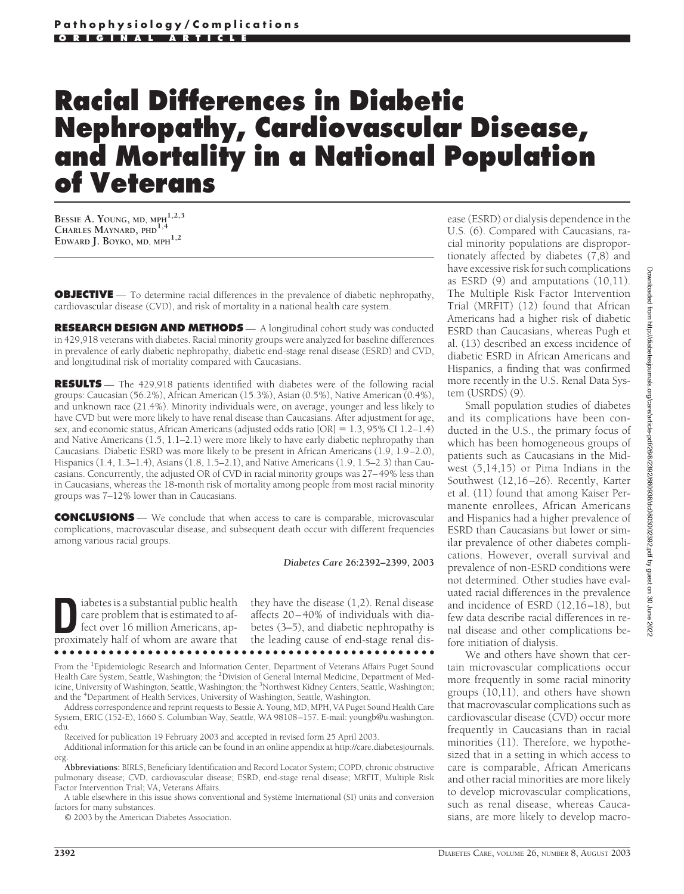# **Racial Differences in Diabetic Nephropathy, Cardiovascular Disease, and Mortality in a National Population of Veterans**

**BESSIE A. YOUNG, MD, MPH1,2,3 CHARLES MAYNARD, PHD1,4 EDWARD J. BOYKO, MD, MPH1,2**

**OBJECTIVE** — To determine racial differences in the prevalence of diabetic nephropathy, cardiovascular disease (CVD), and risk of mortality in a national health care system.

**RESEARCH DESIGN AND METHODS** — A longitudinal cohort study was conducted in 429,918 veterans with diabetes. Racial minority groups were analyzed for baseline differences in prevalence of early diabetic nephropathy, diabetic end-stage renal disease (ESRD) and CVD, and longitudinal risk of mortality compared with Caucasians.

**RESULTS** — The 429,918 patients identified with diabetes were of the following racial groups: Caucasian (56.2%), African American (15.3%), Asian (0.5%), Native American (0.4%), and unknown race (21.4%). Minority individuals were, on average, younger and less likely to have CVD but were more likely to have renal disease than Caucasians. After adjustment for age, sex, and economic status, African Americans (adjusted odds ratio  $[OR] = 1.3$ , 95% CI 1.2–1.4) and Native Americans (1.5, 1.1–2.1) were more likely to have early diabetic nephropathy than Caucasians. Diabetic ESRD was more likely to be present in African Americans (1.9, 1.9–2.0), Hispanics (1.4, 1.3–1.4), Asians (1.8, 1.5–2.1), and Native Americans (1.9, 1.5–2.3) than Caucasians. Concurrently, the adjusted OR of CVD in racial minority groups was 27–49% less than in Caucasians, whereas the 18-month risk of mortality among people from most racial minority groups was 7–12% lower than in Caucasians.

**CONCLUSIONS** — We conclude that when access to care is comparable, microvascular complications, macrovascular disease, and subsequent death occur with different frequencies among various racial groups.

*Diabetes Care* **26:2392–2399, 2003**

**D**<br> **EXECUTE:** is a substantial public health<br>
care problem that is estimated to af-<br>
fect over 16 million Americans, ap-<br>
proximately half of whom are aware that care problem that is estimated to afproximately half of whom are aware that ●●●●●●●●●●●●●●●●●●●●●●●●●●●●●●●●●●●●●●●●●●●●●●●●●

they have the disease (1,2). Renal disease affects 20–40% of individuals with diabetes (3–5), and diabetic nephropathy is the leading cause of end-stage renal dis-

From the <sup>1</sup>Epidemiologic Research and Information Center, Department of Veterans Affairs Puget Sound Health Care System, Seattle, Washington; the <sup>2</sup>Division of General Internal Medicine, Department of Medicine, University of Washington, Seattle, Washington; the <sup>3</sup>Northwest Kidney Centers, Seattle, Washington; and the <sup>4</sup> Department of Health Services, University of Washington, Seattle, Washington.

Address correspondence and reprint requests to Bessie A. Young, MD, MPH, VA Puget Sound Health Care System, ERIC (152-E), 1660 S. Columbian Way, Seattle, WA 98108–157. E-mail: youngb@u.washington. edu.

Received for publication 19 February 2003 and accepted in revised form 25 April 2003.

Additional information for this article can be found in an online appendix at http://care.diabetesjournals. org.

**Abbreviations:** BIRLS, Beneficiary Identification and Record Locator System; COPD, chronic obstructive pulmonary disease; CVD, cardiovascular disease; ESRD, end-stage renal disease; MRFIT, Multiple Risk Factor Intervention Trial; VA, Veterans Affairs.

A table elsewhere in this issue shows conventional and Système International (SI) units and conversion factors for many substances.

© 2003 by the American Diabetes Association.

ease (ESRD) or dialysis dependence in the U.S. (6). Compared with Caucasians, racial minority populations are disproportionately affected by diabetes (7,8) and have excessive risk for such complications as ESRD (9) and amputations (10,11). The Multiple Risk Factor Intervention Trial (MRFIT) (12) found that African Americans had a higher risk of diabetic ESRD than Caucasians, whereas Pugh et al. (13) described an excess incidence of diabetic ESRD in African Americans and Hispanics, a finding that was confirmed more recently in the U.S. Renal Data System (USRDS) (9).

Small population studies of diabetes and its complications have been conducted in the U.S., the primary focus of which has been homogeneous groups of patients such as Caucasians in the Midwest (5,14,15) or Pima Indians in the Southwest (12,16–26). Recently, Karter et al. (11) found that among Kaiser Permanente enrollees, African Americans and Hispanics had a higher prevalence of ESRD than Caucasians but lower or similar prevalence of other diabetes complications. However, overall survival and prevalence of non-ESRD conditions were not determined. Other studies have evaluated racial differences in the prevalence and incidence of ESRD (12,16–18), but few data describe racial differences in renal disease and other complications before initiation of dialysis.

We and others have shown that certain microvascular complications occur more frequently in some racial minority groups (10,11), and others have shown that macrovascular complications such as cardiovascular disease (CVD) occur more frequently in Caucasians than in racial minorities (11). Therefore, we hypothesized that in a setting in which access to care is comparable, African Americans and other racial minorities are more likely to develop microvascular complications, such as renal disease, whereas Caucasians, are more likely to develop macro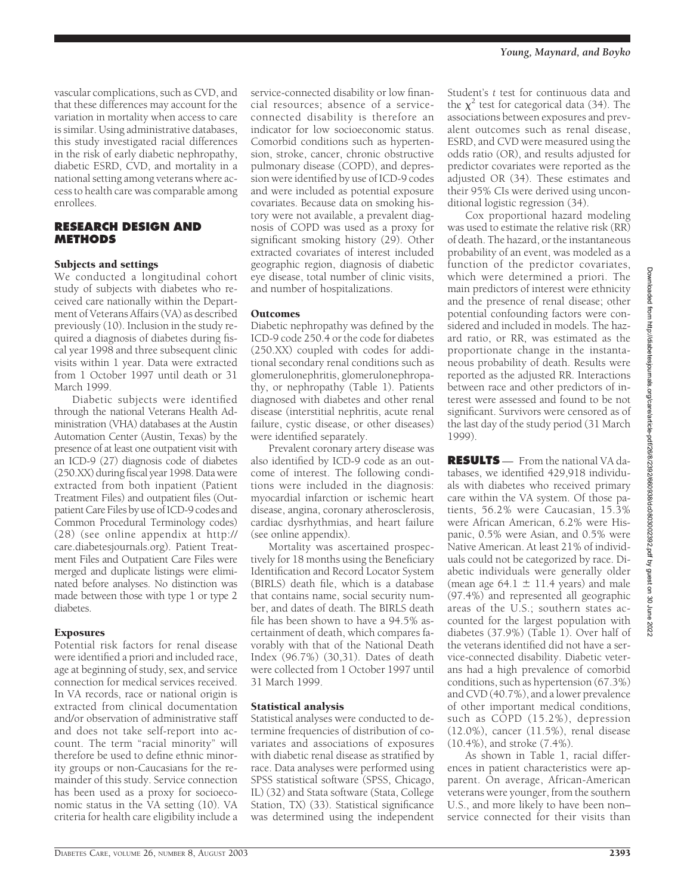vascular complications, such as CVD, and that these differences may account for the variation in mortality when access to care is similar. Using administrative databases, this study investigated racial differences in the risk of early diabetic nephropathy, diabetic ESRD, CVD, and mortality in a national setting among veterans where access to health care was comparable among enrollees.

## **RESEARCH DESIGN AND METHODS**

# Subjects and settings

We conducted a longitudinal cohort study of subjects with diabetes who received care nationally within the Department of Veterans Affairs (VA) as described previously (10). Inclusion in the study required a diagnosis of diabetes during fiscal year 1998 and three subsequent clinic visits within 1 year. Data were extracted from 1 October 1997 until death or 31 March 1999.

Diabetic subjects were identified through the national Veterans Health Administration (VHA) databases at the Austin Automation Center (Austin, Texas) by the presence of at least one outpatient visit with an ICD-9 (27) diagnosis code of diabetes (250.XX) during fiscal year 1998. Data were extracted from both inpatient (Patient Treatment Files) and outpatient files (Outpatient Care Files by use of ICD-9 codes and Common Procedural Terminology codes) (28) (see online appendix at http:// care.diabetesjournals.org). Patient Treatment Files and Outpatient Care Files were merged and duplicate listings were eliminated before analyses. No distinction was made between those with type 1 or type 2 diabetes.

## Exposures

Potential risk factors for renal disease were identified a priori and included race, age at beginning of study, sex, and service connection for medical services received. In VA records, race or national origin is extracted from clinical documentation and/or observation of administrative staff and does not take self-report into account. The term "racial minority" will therefore be used to define ethnic minority groups or non-Caucasians for the remainder of this study. Service connection has been used as a proxy for socioeconomic status in the VA setting (10). VA criteria for health care eligibility include a

service-connected disability or low financial resources; absence of a serviceconnected disability is therefore an indicator for low socioeconomic status. Comorbid conditions such as hypertension, stroke, cancer, chronic obstructive pulmonary disease (COPD), and depression were identified by use of ICD-9 codes and were included as potential exposure covariates. Because data on smoking history were not available, a prevalent diagnosis of COPD was used as a proxy for significant smoking history (29). Other extracted covariates of interest included geographic region, diagnosis of diabetic eye disease, total number of clinic visits, and number of hospitalizations.

# **Outcomes**

Diabetic nephropathy was defined by the ICD-9 code 250.4 or the code for diabetes (250.XX) coupled with codes for additional secondary renal conditions such as glomerulonephritis, glomerulonephropathy, or nephropathy (Table 1). Patients diagnosed with diabetes and other renal disease (interstitial nephritis, acute renal failure, cystic disease, or other diseases) were identified separately.

Prevalent coronary artery disease was also identified by ICD-9 code as an outcome of interest. The following conditions were included in the diagnosis: myocardial infarction or ischemic heart disease, angina, coronary atherosclerosis, cardiac dysrhythmias, and heart failure (see online appendix).

Mortality was ascertained prospectively for 18 months using the Beneficiary Identification and Record Locator System (BIRLS) death file, which is a database that contains name, social security number, and dates of death. The BIRLS death file has been shown to have a 94.5% ascertainment of death, which compares favorably with that of the National Death Index (96.7%) (30,31). Dates of death were collected from 1 October 1997 until 31 March 1999.

# Statistical analysis

Statistical analyses were conducted to determine frequencies of distribution of covariates and associations of exposures with diabetic renal disease as stratified by race. Data analyses were performed using SPSS statistical software (SPSS, Chicago, IL) (32) and Stata software (Stata, College Station, TX) (33). Statistical significance was determined using the independent

Student's *t* test for continuous data and the  $\chi^2$  test for categorical data (34). The associations between exposures and prevalent outcomes such as renal disease, ESRD, and CVD were measured using the odds ratio (OR), and results adjusted for predictor covariates were reported as the adjusted OR (34). These estimates and their 95% CIs were derived using unconditional logistic regression (34).

Cox proportional hazard modeling was used to estimate the relative risk (RR) of death. The hazard, or the instantaneous probability of an event, was modeled as a function of the predictor covariates, which were determined a priori. The main predictors of interest were ethnicity and the presence of renal disease; other potential confounding factors were considered and included in models. The hazard ratio, or RR, was estimated as the proportionate change in the instantaneous probability of death. Results were reported as the adjusted RR. Interactions between race and other predictors of interest were assessed and found to be not significant. Survivors were censored as of the last day of the study period (31 March 1999).

**RESULTS** — From the national VA databases, we identified 429,918 individuals with diabetes who received primary care within the VA system. Of those patients, 56.2% were Caucasian, 15.3% were African American, 6.2% were Hispanic, 0.5% were Asian, and 0.5% were Native American. At least 21% of individuals could not be categorized by race. Diabetic individuals were generally older (mean age  $64.1 \pm 11.4$  years) and male (97.4%) and represented all geographic areas of the U.S.; southern states accounted for the largest population with diabetes (37.9%) (Table 1). Over half of the veterans identified did not have a service-connected disability. Diabetic veterans had a high prevalence of comorbid conditions, such as hypertension (67.3%) and CVD (40.7%), and a lower prevalence of other important medical conditions, such as COPD (15.2%), depression (12.0%), cancer (11.5%), renal disease (10.4%), and stroke (7.4%).

As shown in Table 1, racial differences in patient characteristics were apparent. On average, African-American veterans were younger, from the southern U.S., and more likely to have been non– service connected for their visits than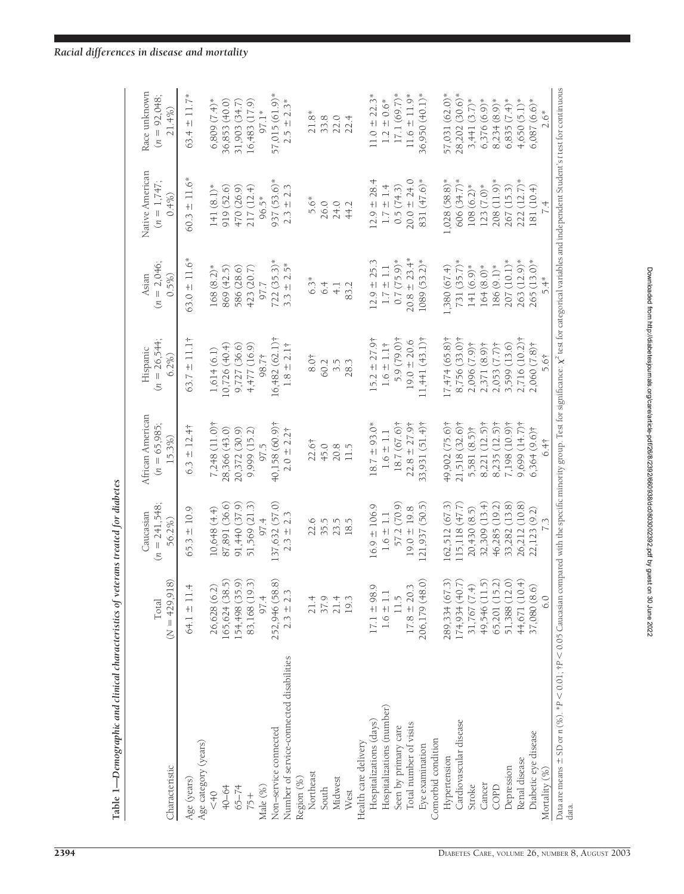| ・・・・・・・・・・・             |
|-------------------------|
|                         |
|                         |
| i<br>Catalog            |
| l<br>I<br>I             |
| $\frac{1}{2}$<br>ĺ<br>I |

| Characteristic                                                                                                                                                                                                                   | $(N = 429, 918)$<br>Total         | $(n = 241,548)$<br>Caucasian<br>56.2%) | African American<br>$(n = 65,985;$<br>15.3%) | $(n = 26,544;$<br>Hispanic<br>6.2% | $(n = 2,046;$<br>0.5%<br>Asian | Native American<br>$(n = 1,747;$<br>0.4% | Race unknown<br>$(n = 92,048;$<br>21.4% |
|----------------------------------------------------------------------------------------------------------------------------------------------------------------------------------------------------------------------------------|-----------------------------------|----------------------------------------|----------------------------------------------|------------------------------------|--------------------------------|------------------------------------------|-----------------------------------------|
| Age (years)                                                                                                                                                                                                                      | $64.1 \pm 11.4$                   | $65.3 \pm 10.9$                        | $6.3 \pm 12.4$                               | 63.7 $\pm$ 11.1†                   | $63.0 \pm 11.6*$               | $60.3 \pm 11.6*$                         | 63.4 $\pm$ 11.7*                        |
| Age category (years)<br>$6+2$                                                                                                                                                                                                    | 26,628 (6.2)                      | 10,648 (4.4)                           | $7,248(11.0)$ †                              | 1,614(6.1)                         | 168 (8.2)*                     | 141 $(8.1)$ *                            | $6,809(7.4)*$                           |
|                                                                                                                                                                                                                                  |                                   |                                        |                                              |                                    |                                |                                          |                                         |
| 40-64                                                                                                                                                                                                                            | 165,624(38.5)                     | 87,891 (36.6)                          | 28,366 (43.0)                                | 10,726 (40.4)                      | 869 (42.5)                     | 919 (52.6)                               | 36,853 (40.0)                           |
| $65 - 74$                                                                                                                                                                                                                        | ଚି ନି<br>154,498 (35.             | 91,440 (37.9)                          | 20,372 (30.9)                                | 9,727(36.6)                        | 586 (28.6)                     | 470 (26.9)                               | 31,903 (34.7)                           |
| $75 +$                                                                                                                                                                                                                           | 83,168 (19.                       | 51,569 (21.3)                          | 9,999 (15.2)                                 | 4,477(16.9)                        | 423 (20.7)                     | 217(12.4)                                | 16,483 (17.9)                           |
| Male (%)                                                                                                                                                                                                                         | 97.4                              | 97.4                                   | 97.5                                         | 98.7†                              | 7.7                            | 96.5*                                    | 97.1*                                   |
| Non–service connected                                                                                                                                                                                                            | $252,946 (58.8)$<br>$2.3 \pm 2.3$ | 137,632 (57.0)                         | 40,158 (60.9)†                               | 16,482 (62.1) <sup>†</sup>         | $722(35.3)*$                   | 937 (53.6)*                              | 57,015 (61.9)*                          |
| Number of service-connected disabilities                                                                                                                                                                                         |                                   | $2.3 \pm 2.3$                          | $2.0 \pm 2.2$ †                              | $1.8 \pm 2.1$                      | $3.3 \pm 2.5*$                 | $2.3 \pm 2.3$                            | $2.5 \pm 2.3*$                          |
| Region (%)                                                                                                                                                                                                                       |                                   |                                        |                                              |                                    |                                |                                          |                                         |
| Northeast                                                                                                                                                                                                                        | 21.4                              | 22.6                                   | 22.6†                                        | $8.0+$                             | $6.3*$                         | 5.6*                                     | $21.8*$                                 |
| South                                                                                                                                                                                                                            | 37.9                              | 35.5                                   | 45.0                                         | 60.2                               | 6.4                            | 26.0                                     | 33.8                                    |
| Midwest                                                                                                                                                                                                                          | $21.4$<br>19.3                    | 23.5                                   | 20.8                                         | 3.5                                | $\overline{4}$ .               | 24.0                                     | 22.0                                    |
| West                                                                                                                                                                                                                             |                                   | 18.5                                   | 115                                          | 28.3                               | 83.2                           | 44.2                                     | 22.4                                    |
| Health care delivery                                                                                                                                                                                                             |                                   |                                        |                                              |                                    |                                |                                          |                                         |
| Hospitalizations (days)                                                                                                                                                                                                          | $17.1 \pm 98.9$                   | $16.9 \pm 106.9$                       | $18.7 \pm 93.0*$                             | $15.2 \pm 27.9$                    | $12.9 \pm 25.3$                | $12.9 \pm 28.4$                          | $11.0 \pm 22.3*$                        |
| Hospitalizations (number)                                                                                                                                                                                                        | $1.6\pm1.1$                       | $1.6 \pm 1.1$                          | $1.6\pm1.1$                                  | $1.6 \pm 1.1$ †                    | $1.7\pm1.1$                    | $1.7 \pm 1.4$                            | $1.2 \pm 0.6*$                          |
| Seen by primary care                                                                                                                                                                                                             | 11.5                              | 57.2 (70.9)                            | 18.7 (67.6)†                                 | 5.9 (79.0) †                       | $0.7(75.9)*$                   | 0.5(74.3)                                | $17.1(69.7)$ *                          |
| Total number of visits                                                                                                                                                                                                           | $17.8 \pm 20.3$                   | $19.0 \pm 19.8$                        | $22.8 \pm 27.9$                              | $19.0 \pm 20.6$                    | $20.8 \pm 23.4*$               | $20.0 \pm 24.0$                          | $11.6 \pm 11.9*$                        |
| Eye examination                                                                                                                                                                                                                  | 206,179 (48.0)                    | 121,937 (50.5)                         | 33,931 (51.4)†                               | $11,441$ $(43.1)$ <sup>†</sup>     | 1089 (53.2)*                   | 831 (47.6)*                              | 36,950 (40.1)*                          |
| Comorbid condition                                                                                                                                                                                                               |                                   |                                        |                                              |                                    |                                |                                          |                                         |
| Hypertension                                                                                                                                                                                                                     | 289,334 (67.3)                    | 162,512 (67.3)                         | 49,902 (75.6)†                               | $17,474(65.8)$ †                   | 1,380 (67.4)                   | 1,028 (58.8)*                            | 57,031 (62.0)*                          |
| Cardiovascular disease                                                                                                                                                                                                           | 174,934 (40.7)                    | $115,118$ $(47.7)$                     | 21,518 (32.6)†                               | 8,756 (33.0)†                      | $731(35.7)$ *                  | 606 (34.7)*                              | 28,202 (30.6)*                          |
| Stroke                                                                                                                                                                                                                           | 31,767(7.4)                       | 20,430 (8.5)                           | 5,581 (8.5)†                                 | 2,096 (7.9)†                       | 141 (6.9)*                     | $108(6.2)$ *                             | $3,441(3.7)$ *                          |
| Cancer                                                                                                                                                                                                                           | 49,546 (11.5)                     | 32,309(13.4)                           | 8,221 (12.5)†                                | $2,371(8.9)$ †                     | $164(8.0)*$                    | $123 (7.0)$ *                            | $6,376(6.9)$ *                          |
| COPD                                                                                                                                                                                                                             | 65,201 (15.2)<br>51,388 (12.0)    | 46,285 (19.2)                          | $8,235(12.5)$ †                              | $2,053(7.7)\dagger$                | 186 (9.1)*                     | 208 (11.9)*                              | $8,234(8.9)$ *                          |
| Depression                                                                                                                                                                                                                       |                                   | 33,282 (13.8)                          | 7,198 (10.9)†                                | 3,599 (13.6)                       | 207 (10.1)*                    | 267 (15.3)                               | $6,835(7.4)$ *                          |
| Renal disease                                                                                                                                                                                                                    | 44,671 (10.4)                     | 26,212 (10.8)                          | 9.699(14.7)                                  | 2,716 (10.2)†                      | 263 (12.9)*                    | $222(12.7)$ *                            | $4,650(5.1)*$                           |
| Diabetic eye disease                                                                                                                                                                                                             | 37,080 (8.6)                      | 22,123 (9.2)                           | $6,364(9.6)$ †                               | 2,060 (7.8)†                       | 265 (13.0)*                    | 181 (10.4)                               | $6,087(6.6)*$                           |
| Mortality (%)                                                                                                                                                                                                                    | 6.0                               |                                        | 6.4 <sup>†</sup>                             | 5.6†                               | 5.4*                           | 7.4                                      | $2.6*$                                  |
| Data are means $\pm$ SD or $n$ (%). *P $<$ 0.01; tP $<$ 0.05 Caucasian compared with the specific minotity group. Test for significance: $\chi^2$ test for categorical variables and independent Student's t test for continuous |                                   |                                        |                                              |                                    |                                |                                          |                                         |

data.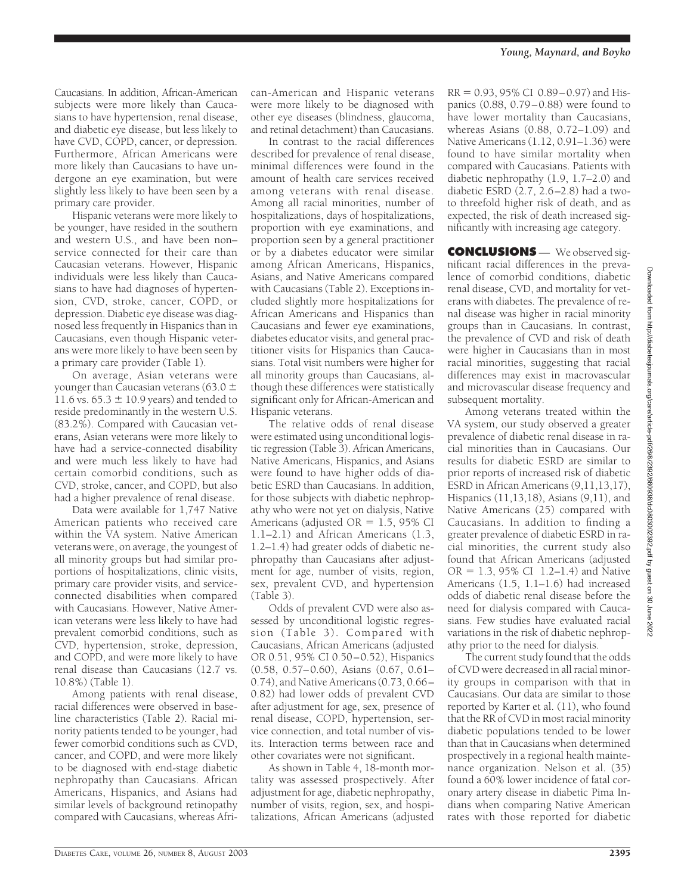Caucasians. In addition, African-American subjects were more likely than Caucasians to have hypertension, renal disease, and diabetic eye disease, but less likely to have CVD, COPD, cancer, or depression. Furthermore, African Americans were more likely than Caucasians to have undergone an eye examination, but were slightly less likely to have been seen by a primary care provider.

Hispanic veterans were more likely to be younger, have resided in the southern and western U.S., and have been non– service connected for their care than Caucasian veterans. However, Hispanic individuals were less likely than Caucasians to have had diagnoses of hypertension, CVD, stroke, cancer, COPD, or depression. Diabetic eye disease was diagnosed less frequently in Hispanics than in Caucasians, even though Hispanic veterans were more likely to have been seen by a primary care provider (Table 1).

On average, Asian veterans were younger than Caucasian veterans (63.0  $\pm$ 11.6 vs.  $65.3 \pm 10.9$  years) and tended to reside predominantly in the western U.S. (83.2%). Compared with Caucasian veterans, Asian veterans were more likely to have had a service-connected disability and were much less likely to have had certain comorbid conditions, such as CVD, stroke, cancer, and COPD, but also had a higher prevalence of renal disease.

Data were available for 1,747 Native American patients who received care within the VA system. Native American veterans were, on average, the youngest of all minority groups but had similar proportions of hospitalizations, clinic visits, primary care provider visits, and serviceconnected disabilities when compared with Caucasians. However, Native American veterans were less likely to have had prevalent comorbid conditions, such as CVD, hypertension, stroke, depression, and COPD, and were more likely to have renal disease than Caucasians (12.7 vs. 10.8%) (Table 1).

Among patients with renal disease, racial differences were observed in baseline characteristics (Table 2). Racial minority patients tended to be younger, had fewer comorbid conditions such as CVD, cancer, and COPD, and were more likely to be diagnosed with end-stage diabetic nephropathy than Caucasians. African Americans, Hispanics, and Asians had similar levels of background retinopathy compared with Caucasians, whereas African-American and Hispanic veterans were more likely to be diagnosed with other eye diseases (blindness, glaucoma, and retinal detachment) than Caucasians.

In contrast to the racial differences described for prevalence of renal disease, minimal differences were found in the amount of health care services received among veterans with renal disease. Among all racial minorities, number of hospitalizations, days of hospitalizations, proportion with eye examinations, and proportion seen by a general practitioner or by a diabetes educator were similar among African Americans, Hispanics, Asians, and Native Americans compared with Caucasians (Table 2). Exceptions included slightly more hospitalizations for African Americans and Hispanics than Caucasians and fewer eye examinations, diabetes educator visits, and general practitioner visits for Hispanics than Caucasians. Total visit numbers were higher for all minority groups than Caucasians, although these differences were statistically significant only for African-American and Hispanic veterans.

The relative odds of renal disease were estimated using unconditional logistic regression (Table 3). African Americans, Native Americans, Hispanics, and Asians were found to have higher odds of diabetic ESRD than Caucasians. In addition, for those subjects with diabetic nephropathy who were not yet on dialysis, Native Americans (adjusted  $OR = 1.5$ , 95% CI 1.1–2.1) and African Americans (1.3, 1.2–1.4) had greater odds of diabetic nephropathy than Caucasians after adjustment for age, number of visits, region, sex, prevalent CVD, and hypertension (Table 3).

Odds of prevalent CVD were also assessed by unconditional logistic regression (Table 3). Compared with Caucasians, African Americans (adjusted OR 0.51, 95% CI 0.50–0.52), Hispanics (0.58, 0.57–0.60), Asians (0.67, 0.61– 0.74), and Native Americans (0.73, 0.66– 0.82) had lower odds of prevalent CVD after adjustment for age, sex, presence of renal disease, COPD, hypertension, service connection, and total number of visits. Interaction terms between race and other covariates were not significant.

As shown in Table 4, 18-month mortality was assessed prospectively. After adjustment for age, diabetic nephropathy, number of visits, region, sex, and hospitalizations, African Americans (adjusted

 $RR = 0.93, 95\% \text{ CI } 0.89 - 0.97$  and Hispanics (0.88, 0.79–0.88) were found to have lower mortality than Caucasians, whereas Asians (0.88, 0.72–1.09) and Native Americans (1.12, 0.91–1.36) were found to have similar mortality when compared with Caucasians. Patients with diabetic nephropathy (1.9, 1.7–2.0) and diabetic ESRD (2.7, 2.6–2.8) had a twoto threefold higher risk of death, and as expected, the risk of death increased significantly with increasing age category.

**CONCLUSIONS** — We observed significant racial differences in the prevalence of comorbid conditions, diabetic renal disease, CVD, and mortality for veterans with diabetes. The prevalence of renal disease was higher in racial minority groups than in Caucasians. In contrast, the prevalence of CVD and risk of death were higher in Caucasians than in most racial minorities, suggesting that racial differences may exist in macrovascular and microvascular disease frequency and subsequent mortality.

Among veterans treated within the VA system, our study observed a greater prevalence of diabetic renal disease in racial minorities than in Caucasians. Our results for diabetic ESRD are similar to prior reports of increased risk of diabetic ESRD in African Americans (9,11,13,17), Hispanics (11,13,18), Asians (9,11), and Native Americans (25) compared with Caucasians. In addition to finding a greater prevalence of diabetic ESRD in racial minorities, the current study also found that African Americans (adjusted  $OR = 1.3$ , 95% CI 1.2–1.4) and Native Americans (1.5, 1.1–1.6) had increased odds of diabetic renal disease before the need for dialysis compared with Caucasians. Few studies have evaluated racial variations in the risk of diabetic nephropathy prior to the need for dialysis.

The current study found that the odds of CVD were decreased in all racial minority groups in comparison with that in Caucasians. Our data are similar to those reported by Karter et al. (11), who found that the RR of CVD in most racial minority diabetic populations tended to be lower than that in Caucasians when determined prospectively in a regional health maintenance organization. Nelson et al. (35) found a 60% lower incidence of fatal coronary artery disease in diabetic Pima Indians when comparing Native American rates with those reported for diabetic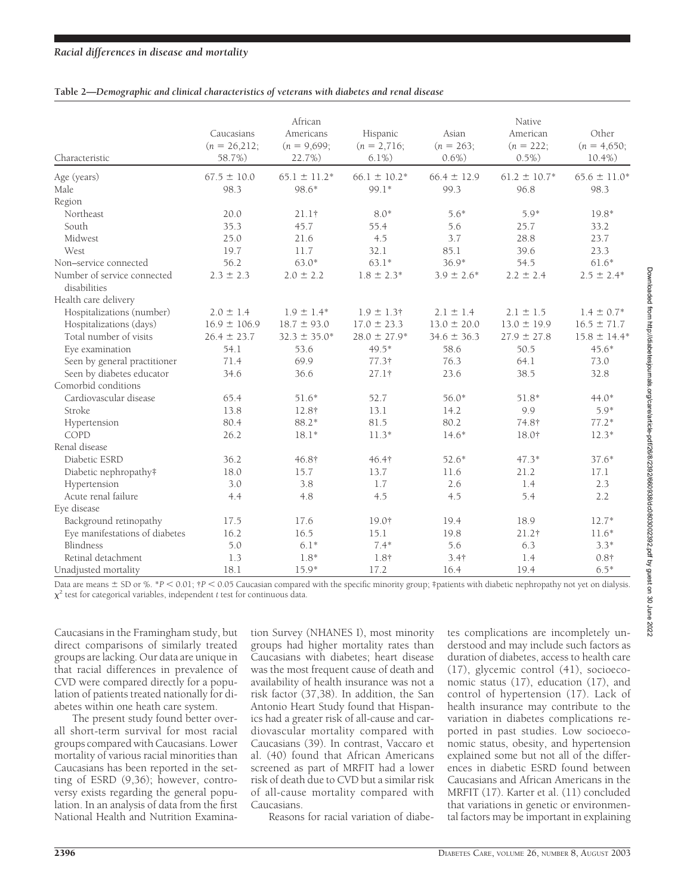## *Racial differences in disease and mortality*

### **Table 2—***Demographic and clinical characteristics of veterans with diabetes and renal disease*

| Characteristic                              | Caucasians<br>$(n = 26,212;$<br>58.7%) | African<br>Americans<br>$(n = 9,699)$ ;<br>22.7%) | Hispanic<br>$(n = 2,716;$<br>$6.1\%)$ | Asian<br>$(n = 263;$<br>$0.6\%)$ | Native<br>American<br>$(n = 222)$ ;<br>$0.5\%)$ | Other<br>$(n = 4,650;$<br>$10.4\%$ ) |
|---------------------------------------------|----------------------------------------|---------------------------------------------------|---------------------------------------|----------------------------------|-------------------------------------------------|--------------------------------------|
| Age (years)                                 | $67.5 \pm 10.0$                        | $65.1 \pm 11.2*$                                  | $66.1 \pm 10.2^*$                     | $66.4 \pm 12.9$                  | $61.2 \pm 10.7*$                                | $65.6 \pm 11.0*$                     |
| Male                                        | 98.3                                   | 98.6*                                             | 99.1*                                 | 99.3                             | 96.8                                            | 98.3                                 |
| Region                                      |                                        |                                                   |                                       |                                  |                                                 |                                      |
| Northeast                                   | 20.0                                   | $21.1$ †                                          | $8.0*$                                | $5.6*$                           | 5.9*                                            | 19.8*                                |
| South                                       | 35.3                                   | 45.7                                              | 55.4                                  | 5.6                              | 25.7                                            | 33.2                                 |
| Midwest                                     | 25.0                                   | 21.6                                              | 4.5                                   | 3.7                              | 28.8                                            | 23.7                                 |
| West                                        | 19.7                                   | 11.7                                              | 32.1                                  | 85.1                             | 39.6                                            | 23.3                                 |
| Non-service connected                       | 56.2                                   | $63.0*$                                           | $63.1*$                               | $36.9*$                          | 54.5                                            | $61.6*$                              |
| Number of service connected<br>disabilities | $2.3 \pm 2.3$                          | $2.0 \pm 2.2$                                     | $1.8 \pm 2.3*$                        | $3.9 \pm 2.6*$                   | $2.2 \pm 2.4$                                   | $2.5 \pm 2.4*$                       |
| Health care delivery                        |                                        |                                                   |                                       |                                  |                                                 |                                      |
| Hospitalizations (number)                   | $2.0 \pm 1.4$                          | $1.9 \pm 1.4*$                                    | $1.9 \pm 1.3$ †                       | $2.1 \pm 1.4$                    | $2.1 \pm 1.5$                                   | $1.4 \pm 0.7*$                       |
| Hospitalizations (days)                     | $16.9 \pm 106.9$                       | $18.7 \pm 93.0$                                   | $17.0 \pm 23.3$                       | $13.0 \pm 20.0$                  | $13.0 \pm 19.9$                                 | $16.5 \pm 71.7$                      |
| Total number of visits                      | $26.4 \pm 23.7$                        | $32.3 \pm 35.0*$                                  | $28.0 \pm 27.9*$                      | $34.6 \pm 36.3$                  | $27.9 \pm 27.8$                                 | $15.8 \pm 14.4*$                     |
| Eye examination                             | 54.1                                   | 53.6                                              | 49.5*                                 | 58.6                             | 50.5                                            | $45.6*$                              |
| Seen by general practitioner                | 71.4                                   | 69.9                                              | 77.3†                                 | 76.3                             | 64.1                                            | 73.0                                 |
| Seen by diabetes educator                   | 34.6                                   | 36.6                                              | 27.1†                                 | 23.6                             | 38.5                                            | 32.8                                 |
| Comorbid conditions                         |                                        |                                                   |                                       |                                  |                                                 |                                      |
| Cardiovascular disease                      | 65.4                                   | $51.6*$                                           | 52.7                                  | $56.0*$                          | 51.8*                                           | $44.0*$                              |
| Stroke                                      | 13.8                                   | 12.8†                                             | 13.1                                  | 14.2                             | 9.9                                             | $5.9*$                               |
| Hypertension                                | 80.4                                   | 88.2*                                             | 81.5                                  | 80.2                             | 74.8†                                           | $77.2*$                              |
| COPD                                        | 26.2                                   | $18.1*$                                           | $11.3*$                               | $14.6*$                          | 18.0†                                           | $12.3*$                              |
| Renal disease                               |                                        |                                                   |                                       |                                  |                                                 |                                      |
| Diabetic ESRD                               | 36.2                                   | 46.8†                                             | 46.4†                                 | $52.6*$                          | $47.3*$                                         | $37.6*$                              |
| Diabetic nephropathy#                       | 18.0                                   | 15.7                                              | 13.7                                  | 11.6                             | 21.2                                            | 17.1                                 |
| Hypertension                                | 3.0                                    | 3.8                                               | 1.7                                   | 2.6                              | 1.4                                             | 2.3                                  |
| Acute renal failure                         | 4.4                                    | 4.8                                               | 4.5                                   | 4.5                              | 5.4                                             | 2.2                                  |
| Eye disease                                 |                                        |                                                   |                                       |                                  |                                                 |                                      |
| Background retinopathy                      | 17.5                                   | 17.6                                              | 19.0†                                 | 19.4                             | 18.9                                            | $12.7*$                              |
| Eye manifestations of diabetes              | 16.2                                   | 16.5                                              | 15.1                                  | 19.8                             | 21.2†                                           | $11.6*$                              |
| Blindness                                   | 5.0                                    | $6.1*$                                            | $7.4*$                                | 5.6                              | 6.3                                             | $3.3*$                               |
| Retinal detachment                          | 1.3                                    | $1.8*$                                            | 1.8†                                  | 3.4 <sub>†</sub>                 | 1.4                                             | $0.8\dagger$                         |
| Unadjusted mortality                        | 18.1                                   | $15.9*$                                           | 17.2                                  | 16.4                             | 19.4                                            | $6.5*$                               |

Downloaded from http://diabetesjournals.org/care/article-pdf/26/8/2392/660938/dc0803002392.pdf by guest on 30 June 2022 Downloaded from http://diabetesjournals.org/care/article-pdf/26/8/2392/660938/dc0803002392.pdf by guest on 30 June 2022

Data are means  $\pm$  SD or %, \**P* < 0.01;  $\uparrow$  P < 0.05 Caucasian compared with the specific minority group; ‡patients with diabetic nephropathy not yet on dialysis.  $\chi^2$  test for categorical variables, independent *t* test for continuous data.

Caucasians in the Framingham study, but direct comparisons of similarly treated groups are lacking. Our data are unique in that racial differences in prevalence of CVD were compared directly for a population of patients treated nationally for diabetes within one heath care system.

The present study found better overall short-term survival for most racial groups compared with Caucasians. Lower mortality of various racial minorities than Caucasians has been reported in the setting of ESRD (9,36); however, controversy exists regarding the general population. In an analysis of data from the first National Health and Nutrition Examination Survey (NHANES I), most minority groups had higher mortality rates than Caucasians with diabetes; heart disease was the most frequent cause of death and availability of health insurance was not a risk factor (37,38). In addition, the San Antonio Heart Study found that Hispanics had a greater risk of all-cause and cardiovascular mortality compared with Caucasians (39). In contrast, Vaccaro et al. (40) found that African Americans screened as part of MRFIT had a lower risk of death due to CVD but a similar risk of all-cause mortality compared with Caucasians.

tes complications are incompletely understood and may include such factors as duration of diabetes, access to health care (17), glycemic control (41), socioeconomic status (17), education (17), and control of hypertension (17). Lack of health insurance may contribute to the variation in diabetes complications reported in past studies. Low socioeconomic status, obesity, and hypertension explained some but not all of the differences in diabetic ESRD found between Caucasians and African Americans in the MRFIT (17). Karter et al. (11) concluded that variations in genetic or environmental factors may be important in explaining

Reasons for racial variation of diabe-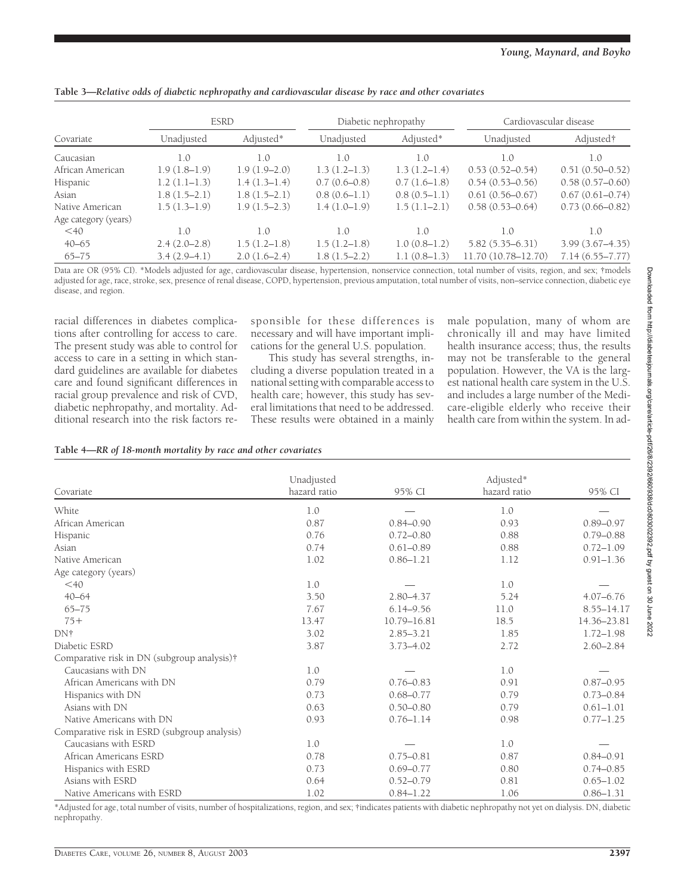|                      |                | <b>ESRD</b>    |                | Diabetic nephropathy |                     | Cardiovascular disease |
|----------------------|----------------|----------------|----------------|----------------------|---------------------|------------------------|
| Covariate            | Unadjusted     | Adjusted*      | Unadjusted     | Adjusted*            | Unadjusted          | Adjusted†              |
| Caucasian            | 1.0            | 1.0            | 1.0            | 1.0                  | 1.0                 | 1.0                    |
| African American     | $1.9(1.8-1.9)$ | $1.9(1.9-2.0)$ | $1.3(1.2-1.3)$ | $1.3(1.2-1.4)$       | $0.53(0.52 - 0.54)$ | $0.51(0.50-0.52)$      |
| Hispanic             | $1.2(1.1-1.3)$ | $1.4(1.3-1.4)$ | $0.7(0.6-0.8)$ | $0.7(1.6-1.8)$       | $0.54(0.53 - 0.56)$ | $0.58(0.57-0.60)$      |
| Asian                | $1.8(1.5-2.1)$ | $1.8(1.5-2.1)$ | $0.8(0.6-1.1)$ | $0.8(0.5-1.1)$       | $0.61(0.56 - 0.67)$ | $0.67(0.61 - 0.74)$    |
| Native American      | $1.5(1.3-1.9)$ | $1.9(1.5-2.3)$ | $1.4(1.0-1.9)$ | $1.5(1.1-2.1)$       | $0.58(0.53 - 0.64)$ | $0.73(0.66 - 0.82)$    |
| Age category (years) |                |                |                |                      |                     |                        |
| $<$ 40               | 1.0            | 1.0            | 1.0            | 1.0                  | 1.0                 | 1.0                    |
| $40 - 65$            | $2.4(2.0-2.8)$ | $1.5(1.2-1.8)$ | $1.5(1.2-1.8)$ | $1.0(0.8-1.2)$       | $5.82(5.35 - 6.31)$ | $3.99(3.67 - 4.35)$    |
| $65 - 75$            | $3.4(2.9-4.1)$ | $2.0(1.6-2.4)$ | $1.8(1.5-2.2)$ | $1.1(0.8-1.3)$       | 11.70 (10.78-12.70) | $7.14(6.55 - 7.77)$    |

Data are OR (95% CI). \*Models adjusted for age, cardiovascular disease, hypertension, nonservice connection, total number of visits, region, and sex; †models adjusted for age, race, stroke, sex, presence of renal disease, COPD, hypertension, previous amputation, total number of visits, non–service connection, diabetic eye disease, and region.

racial differences in diabetes complications after controlling for access to care. The present study was able to control for access to care in a setting in which standard guidelines are available for diabetes care and found significant differences in racial group prevalence and risk of CVD, diabetic nephropathy, and mortality. Additional research into the risk factors re-

sponsible for these differences is necessary and will have important implications for the general U.S. population.

This study has several strengths, including a diverse population treated in a national setting with comparable access to health care; however, this study has several limitations that need to be addressed. These results were obtained in a mainly male population, many of whom are chronically ill and may have limited health insurance access; thus, the results may not be transferable to the general population. However, the VA is the largest national health care system in the U.S. and includes a large number of the Medicare-eligible elderly who receive their health care from within the system. In ad-

## **Table 4—***RR of 18-month mortality by race and other covariates*

|                                              | Unadjusted   |               | Adjusted*    |               |
|----------------------------------------------|--------------|---------------|--------------|---------------|
| Covariate                                    | hazard ratio | 95% CI        | hazard ratio | 95% CI        |
| White                                        | 1.0          |               | 1.0          |               |
| African American                             | 0.87         | $0.84 - 0.90$ | 0.93         | $0.89 - 0.97$ |
| Hispanic                                     | 0.76         | $0.72 - 0.80$ | 0.88         | $0.79 - 0.88$ |
| Asian                                        | 0.74         | $0.61 - 0.89$ | 0.88         | $0.72 - 1.09$ |
| Native American                              | 1.02         | $0.86 - 1.21$ | 1.12         | $0.91 - 1.36$ |
| Age category (years)                         |              |               |              |               |
| $<$ 40                                       | 1.0          |               | 1.0          |               |
| $40 - 64$                                    | 3.50         | $2.80 - 4.37$ | 5.24         | $4.07 - 6.76$ |
| $65 - 75$                                    | 7.67         | $6.14 - 9.56$ | 11.0         | 8.55-14.17    |
| $75+$                                        | 13.47        | 10.79-16.81   | 18.5         | 14.36-23.81   |
| DN†                                          | 3.02         | $2.85 - 3.21$ | 1.85         | $1.72 - 1.98$ |
| Diabetic ESRD                                | 3.87         | $3.73 - 4.02$ | 2.72         | $2.60 - 2.84$ |
| Comparative risk in DN (subgroup analysis)†  |              |               |              |               |
| Caucasians with DN                           | 1.0          |               | 1.0          |               |
| African Americans with DN                    | 0.79         | $0.76 - 0.83$ | 0.91         | $0.87 - 0.95$ |
| Hispanics with DN                            | 0.73         | $0.68 - 0.77$ | 0.79         | $0.73 - 0.84$ |
| Asians with DN                               | 0.63         | $0.50 - 0.80$ | 0.79         | $0.61 - 1.01$ |
| Native Americans with DN                     | 0.93         | $0.76 - 1.14$ | 0.98         | $0.77 - 1.25$ |
| Comparative risk in ESRD (subgroup analysis) |              |               |              |               |
| Caucasians with ESRD                         | 1.0          |               | 1.0          |               |
| African Americans ESRD                       | 0.78         | $0.75 - 0.81$ | 0.87         | $0.84 - 0.91$ |
| Hispanics with ESRD                          | 0.73         | $0.69 - 0.77$ | 0.80         | $0.74 - 0.85$ |
| Asians with ESRD                             | 0.64         | $0.52 - 0.79$ | 0.81         | $0.65 - 1.02$ |
| Native Americans with ESRD                   | 1.02         | $0.84 - 1.22$ | 1.06         | $0.86 - 1.31$ |

\*Adjusted for age, total number of visits, number of hospitalizations, region, and sex; †indicates patients with diabetic nephropathy not yet on dialysis. DN, diabetic nephropathy.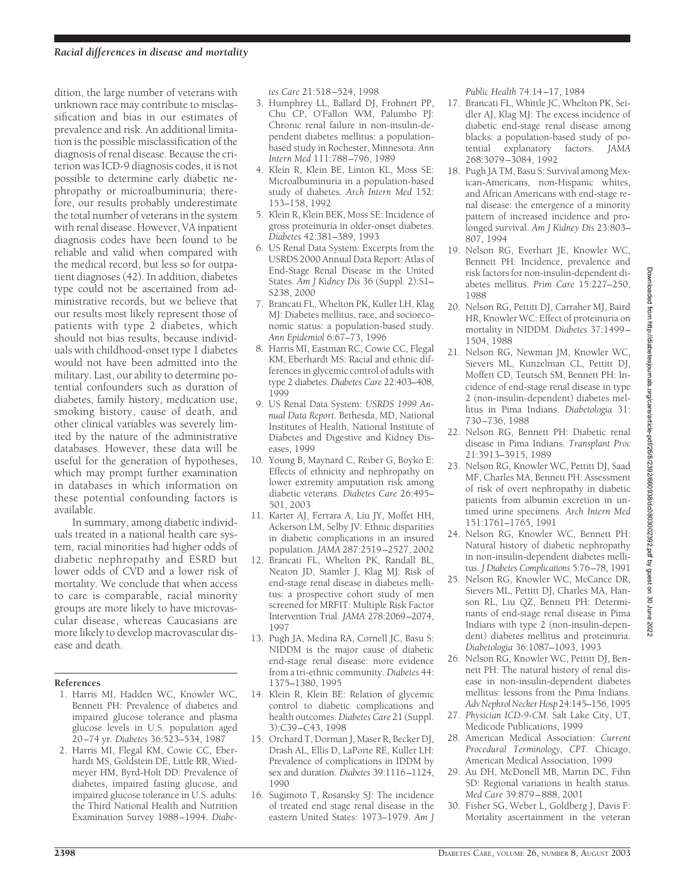## *Racial differences in disease and mortality*

dition, the large number of veterans with unknown race may contribute to misclassification and bias in our estimates of prevalence and risk. An additional limitation is the possible misclassification of the diagnosis of renal disease. Because the criterion was ICD-9 diagnosis codes, it is not possible to determine early diabetic nephropathy or microalbuminuria; therefore, our results probably underestimate the total number of veterans in the system with renal disease. However, VA inpatient diagnosis codes have been found to be reliable and valid when compared with the medical record, but less so for outpatient diagnoses (42). In addition, diabetes type could not be ascertained from administrative records, but we believe that our results most likely represent those of patients with type 2 diabetes, which should not bias results, because individuals with childhood-onset type 1 diabetes would not have been admitted into the military. Last, our ability to determine potential confounders such as duration of diabetes, family history, medication use, smoking history, cause of death, and other clinical variables was severely limited by the nature of the administrative databases. However, these data will be useful for the generation of hypotheses, which may prompt further examination in databases in which information on these potential confounding factors is available.

In summary, among diabetic individuals treated in a national health care system, racial minorities had higher odds of diabetic nephropathy and ESRD but lower odds of CVD and a lower risk of mortality. We conclude that when access to care is comparable, racial minority groups are more likely to have microvascular disease, whereas Caucasians are more likely to develop macrovascular disease and death.

#### **References**

- 1. Harris MI, Hadden WC, Knowler WC, Bennett PH: Prevalence of diabetes and impaired glucose tolerance and plasma glucose levels in U.S. population aged 20–74 yr. *Diabetes* 36:523–534, 1987
- 2. Harris MI, Flegal KM, Cowie CC, Eberhardt MS, Goldstein DE, Little RR, Wiedmeyer HM, Byrd-Holt DD: Prevalence of diabetes, impaired fasting glucose, and impaired glucose tolerance in U.S. adults: the Third National Health and Nutrition Examination Survey 1988–1994. *Diabe-*

*tes Care* 21:518–524, 1998

- 3. Humphrey LL, Ballard DJ, Frohnert PP, Chu CP, O'Fallon WM, Palumbo PJ: Chronic renal failure in non-insulin-dependent diabetes mellitus: a populationbased study in Rochester, Minnesota. *Ann Intern Med* 111:788–796, 1989
- 4. Klein R, Klein BE, Linton KL, Moss SE: Microalbuminuria in a population-based study of diabetes. *Arch Intern Med* 152: 153–158, 1992
- 5. Klein R, Klein BEK, Moss SE: Incidence of gross proteinuria in older-onset diabetes. *Diabetes* 42:381–389, 1993
- 6. US Renal Data System: Excerpts from the USRDS 2000 Annual Data Report: Atlas of End-Stage Renal Disease in the United States. *Am J Kidney Dis* 36 (Suppl. 2):S1– S238, 2000
- 7. Brancati FL, Whelton PK, Kuller LH, Klag MJ: Diabetes mellitus, race, and socioeconomic status: a population-based study. *Ann Epidemiol* 6:67–73, 1996
- 8. Harris MI, Eastman RC, Cowie CC, Flegal KM, Eberhardt MS: Racial and ethnic differences in glycemic control of adults with type 2 diabetes. *Diabetes Care* 22:403–408, 1999
- 9. US Renal Data System: *USRDS 1999 Annual Data Report*. Bethesda, MD, National Institutes of Health, National Institute of Diabetes and Digestive and Kidney Diseases, 1999
- 10. Young B, Maynard C, Reiber G, Boyko E: Effects of ethnicity and nephropathy on lower extremity amputation risk among diabetic veterans. *Diabetes Care* 26:495– 501, 2003
- 11. Karter AJ, Ferrara A, Liu JY, Moffet HH, Ackerson LM, Selby JV: Ethnic disparities in diabetic complications in an insured population. *JAMA* 287:2519–2527, 2002
- 12. Brancati FL, Whelton PK, Randall BL, Neaton JD, Stamler J, Klag MJ: Risk of end-stage renal disease in diabetes mellitus: a prospective cohort study of men screened for MRFIT: Multiple Risk Factor Intervention Trial. *JAMA* 278:2069–2074, 1997
- 13. Pugh JA, Medina RA, Cornell JC, Basu S: NIDDM is the major cause of diabetic end-stage renal disease: more evidence from a tri-ethnic community. *Diabetes* 44: 1375–1380, 1995
- 14. Klein R, Klein BE: Relation of glycemic control to diabetic complications and health outcomes.*Diabetes Care* 21 (Suppl. 3):C39–C43, 1998
- 15. Orchard T, Dorman J, Maser R, Becker DJ, Drash AL, Ellis D, LaPorte RE, Kuller LH: Prevalence of complications in IDDM by sex and duration. *Diabetes* 39:1116–1124, 1990
- 16. Sugimoto T, Rosansky SJ: The incidence of treated end stage renal disease in the eastern United States: 1973–1979. *Am J*

*Public Health* 74:14–17, 1984

- 17. Brancati FL, Whittle JC, Whelton PK, Seidler AJ, Klag MJ: The excess incidence of diabetic end-stage renal disease among blacks: a population-based study of potential explanatory factors. *JAMA* 268:3079–3084, 1992
- 18. Pugh JA TM, Basu S: Survival among Mexican-Americans, non-Hispanic whites, and African Americans with end-stage renal disease: the emergence of a minority pattern of increased incidence and prolonged survival. *Am J Kidney Dis* 23:803– 807, 1994
- 19. Nelson RG, Everhart JE, Knowler WC, Bennett PH: Incidence, prevalence and risk factors for non-insulin-dependent diabetes mellitus. *Prim Care* 15:227–250, 1988
- 20. Nelson RG, Pettitt DJ, Carraher MJ, Baird HR, Knowler WC: Effect of proteinuria on mortality in NIDDM. *Diabetes* 37:1499– 1504, 1988
- 21. Nelson RG, Newman JM, Knowler WC, Sievers ML, Kunzelman CL, Pettitt DJ, Moffett CD, Teutsch SM, Bennett PH: Incidence of end-stage renal disease in type 2 (non-insulin-dependent) diabetes mellitus in Pima Indians. *Diabetologia* 31: 730–736, 1988
- 22. Nelson RG, Bennett PH: Diabetic renal disease in Pima Indians. *Transplant Proc* 21:3913–3915, 1989
- 23. Nelson RG, Knowler WC, Pettitt DJ, Saad MF, Charles MA, Bennett PH: Assessment of risk of overt nephropathy in diabetic patients from albumin excretion in untimed urine specimens. *Arch Intern Med* 151:1761–1765, 1991
- 24. Nelson RG, Knowler WC, Bennett PH: Natural history of diabetic nephropathy in non-insulin-dependent diabetes mellitus. *J Diabetes Complications* 5:76–78, 1991
- 25. Nelson RG, Knowler WC, McCance DR, Sievers ML, Pettitt DJ, Charles MA, Hanson RL, Liu QZ, Bennett PH: Determinants of end-stage renal disease in Pima Indians with type 2 (non-insulin-dependent) diabetes mellitus and proteinuria. *Diabetologia* 36:1087–1093, 1993
- 26. Nelson RG, Knowler WC, Pettitt DJ, Bennett PH: The natural history of renal disease in non-insulin-dependent diabetes mellitus: lessons from the Pima Indians. *AdvNephrolNeckerHosp* 24:145–156, 1995
- 27. *Physician ICD-9-CM*. Salt Lake City, UT, Medicode Publications, 1999
- 28. American Medical Association: *Current Procedural Terminology, CPT*. Chicago, American Medical Association, 1999
- 29. Au DH, McDonell MB, Martin DC, Fihn SD: Regional variations in health status. *Med Care* 39:879–888, 2001
- 30. Fisher SG, Weber L, Goldberg J, Davis F: Mortality ascertainment in the veteran